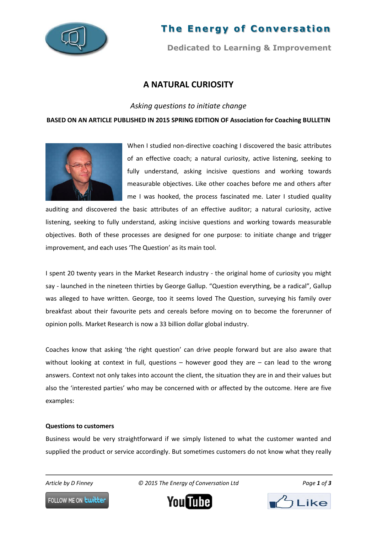

# **The Energy of Conversation**

**Dedicated to Learning & Improvement**

# **A NATURAL CURIOSITY**

# *Asking questions to initiate change*

## **BASED ON AN ARTICLE PUBLISHED IN 2015 SPRING EDITION OF Association for Coaching BULLETIN**



When I studied non-directive coaching I discovered the basic attributes of an effective coach; a natural curiosity, active listening, seeking to fully understand, asking incisive questions and working towards measurable objectives. Like other coaches before me and others after me I was hooked, the process fascinated me. Later I studied quality

auditing and discovered the basic attributes of an effective auditor; a natural curiosity, active listening, seeking to fully understand, asking incisive questions and working towards measurable objectives. Both of these processes are designed for one purpose: to initiate change and trigger improvement, and each uses 'The Question' as its main tool.

I spent 20 twenty years in the Market Research industry - the original home of curiosity you might say - launched in the nineteen thirties by George Gallup. "Question everything, be a radical", Gallup was alleged to have written. George, too it seems loved The Question, surveying his family over breakfast about their favourite pets and cereals before moving on to become the forerunner of opinion polls. Market Research is now a 33 billion dollar global industry.

Coaches know that asking 'the right question' can drive people forward but are also aware that without looking at context in full, questions  $-$  however good they are  $-$  can lead to the wrong answers. Context not only takes into account the client, the situation they are in and their values but also the 'interested parties' who may be concerned with or affected by the outcome. Here are five examples:

### **Questions to customers**

Business would be very straightforward if we simply listened to what the customer wanted and supplied the product or service accordingly. But sometimes customers do not know what they really

*Article by D Finney © 2015 The Energy of Conversation Ltd Page 1 of 3*



FOLLOW ME ON **Lwitter** 

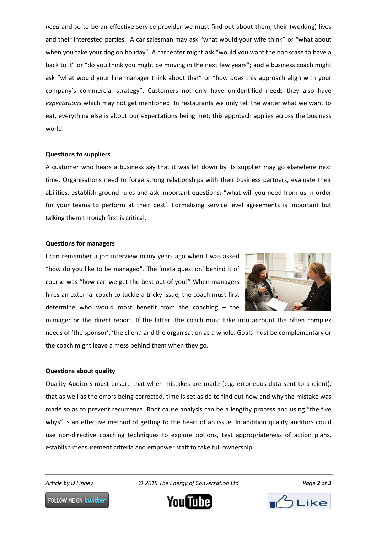*need* and so to be an effective service provider we must find out about them, their (working) lives and their interested parties. A car salesman may ask "what would your wife think" or "what about when you take your dog on holiday". A carpenter might ask "would you want the bookcase to have a back to it" or "do you think you might be moving in the next few years"; and a business coach might ask "what would your line manager think about that" or "how does this approach align with your company's commercial strategy". Customers not only have unidentified needs they also have *expectations* which may not get mentioned. In restaurants we only tell the waiter what we want to eat, everything else is about our expectations being met; this approach applies across the business world.

#### **Questions to suppliers**

A customer who hears a business say that it was let down by its supplier may go elsewhere next time. Organisations need to forge strong relationships with their business partners, evaluate their abilities, establish ground rules and ask important questions: "what will you need from us in order for your teams to perform at their best'. Formalising service level agreements is important but talking them through first is critical.

#### **Questions for managers**

I can remember a job interview many years ago when I was asked "how do you like to be managed". The 'meta question' behind it of course was "how can we get the best out of you!" When managers hires an external coach to tackle a tricky issue, the coach must first determine who would most benefit from the coaching – the



manager or the direct report. If the latter, the coach must take into account the often complex needs of 'the sponsor', 'the client' and the organisation as a whole. Goals must be complementary or the coach might leave a mess behind them when they go.

#### **Questions about quality**

Quality Auditors must ensure that when mistakes are made (e.g. erroneous data sent to a client), that as well as the errors being corrected, time is set aside to find out how and why the mistake was made so as to prevent recurrence. Root cause analysis can be a lengthy process and using "the five whys" is an effective method of getting to the heart of an issue. In addition quality auditors could use non-directive coaching techniques to explore options, test appropriateness of action plans, establish measurement criteria and empower staff to take full ownership.

*Article by D Finney © 2015 The Energy of Conversation Ltd Page 2 of 3*





FOLLOW ME ON **Lwitter**